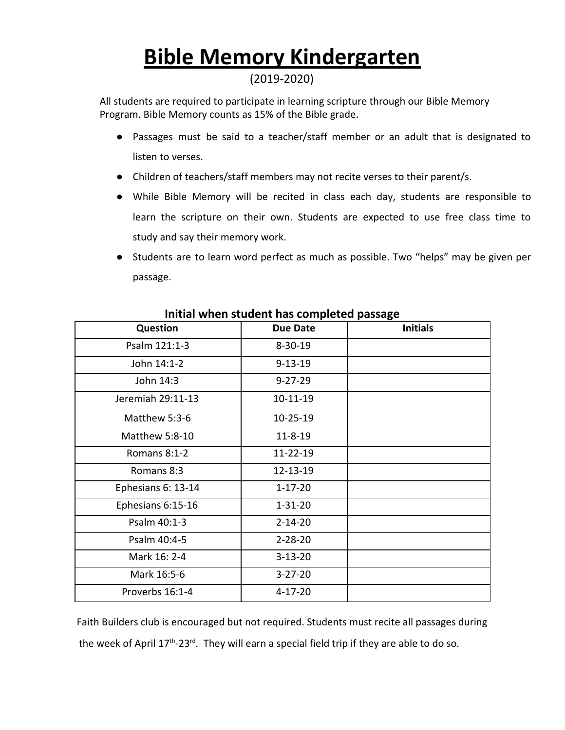## **Bible Memory Kindergarten**

#### (2019-2020)

All students are required to participate in learning scripture through our Bible Memory Program. Bible Memory counts as 15% of the Bible grade.

- Passages must be said to a teacher/staff member or an adult that is designated to listen to verses.
- Children of teachers/staff members may not recite verses to their parent/s.
- While Bible Memory will be recited in class each day, students are responsible to learn the scripture on their own. Students are expected to use free class time to study and say their memory work.
- Students are to learn word perfect as much as possible. Two "helps" may be given per passage.

| <b>INING WITCH STAACHT HAS COMPICTED PASSAGE</b> |                 |                 |
|--------------------------------------------------|-----------------|-----------------|
| <b>Question</b>                                  | <b>Due Date</b> | <b>Initials</b> |
| Psalm 121:1-3                                    | $8 - 30 - 19$   |                 |
| John 14:1-2                                      | $9 - 13 - 19$   |                 |
| John 14:3                                        | $9 - 27 - 29$   |                 |
| Jeremiah 29:11-13                                | $10 - 11 - 19$  |                 |
| Matthew 5:3-6                                    | 10-25-19        |                 |
| Matthew 5:8-10                                   | $11 - 8 - 19$   |                 |
| Romans 8:1-2                                     | 11-22-19        |                 |
| Romans 8:3                                       | 12-13-19        |                 |
| Ephesians 6: 13-14                               | $1 - 17 - 20$   |                 |
| Ephesians 6:15-16                                | $1 - 31 - 20$   |                 |
| Psalm 40:1-3                                     | $2 - 14 - 20$   |                 |
| Psalm 40:4-5                                     | $2 - 28 - 20$   |                 |
| Mark 16: 2-4                                     | $3 - 13 - 20$   |                 |
| Mark 16:5-6                                      | $3 - 27 - 20$   |                 |
| Proverbs 16:1-4                                  | $4 - 17 - 20$   |                 |

#### **Initial when student has completed passage**

Faith Builders club is encouraged but not required. Students must recite all passages during the week of April  $17<sup>th</sup>$ -23<sup>rd</sup>. They will earn a special field trip if they are able to do so.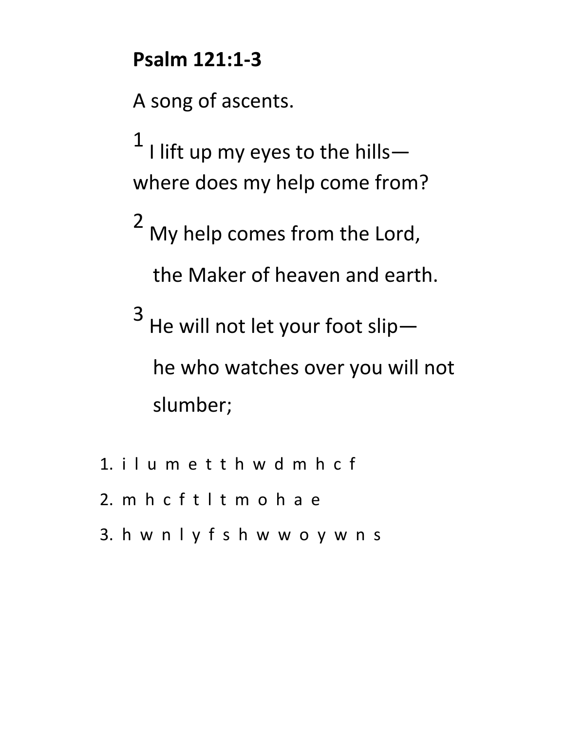### **Psalm 121:1-3**

A song of ascents.

 $1$  I lift up my eyes to the hillswhere does my help come from?

2 My help comes from the Lord,

the Maker of heaven and earth.

3 He will not let your foot slip he who watches over you will not slumber;

- 1. i l u m e t t h w d m h c f
- 2. m h c f t l t m o h a e
- 3. h w n l y f s h w w o y w n s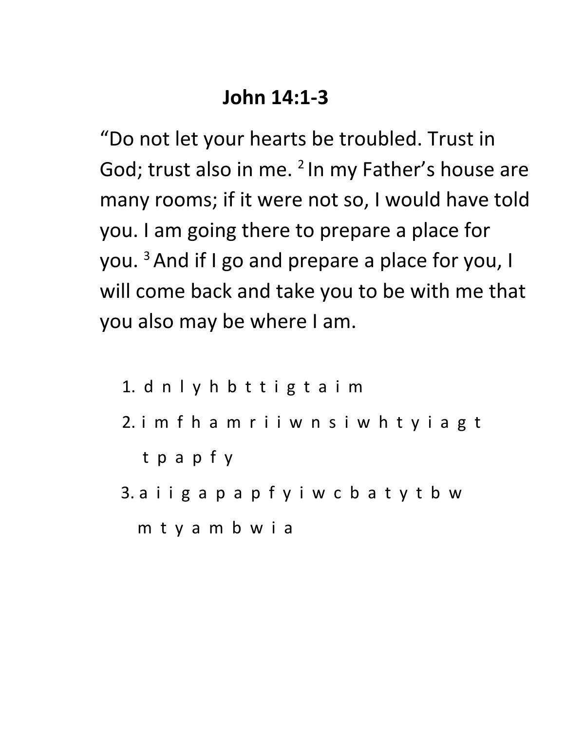### **John 14:1-3**

"Do not let your hearts be troubled. Trust in God; trust also in me. <sup>2</sup> In my Father's house are many rooms; if it were not so, I would have told you. I am going there to prepare a place for you. <sup>3</sup>And if I go and prepare a place for you, I will come back and take you to be with me that you also may be where I am.

1. d n l y h b t t i g t a i m 2. i m f h a m r i i w n s i w h t y i a g t t p a p f y 3. a i i g a p a p f y i w c b a t y t b w m t y a m b w i a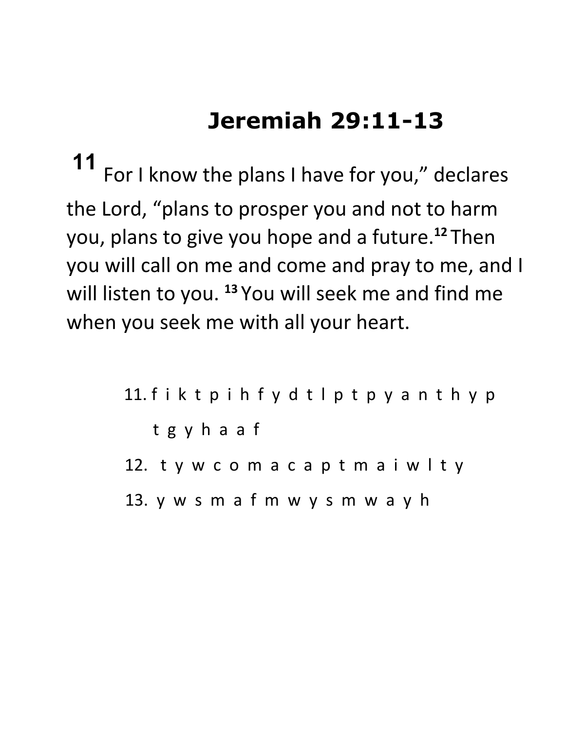# **Jeremiah 29:11-13**

**11** For I know the plans I have for you," declares the Lord, "plans to prosper you and not to harm you, plans to give you hope and a future.**<sup>12</sup>** Then you will call on me and come and pray to me, and I will listen to you. **<sup>13</sup>** You will seek me and find me when you seek me with all your heart.

> 11. f i k t p i h f y d t l p t p y a n t h y p t g y h a a f 12. t y w c o m a c a p t m a i w l t y 13. y w s m a f m w y s m w a y h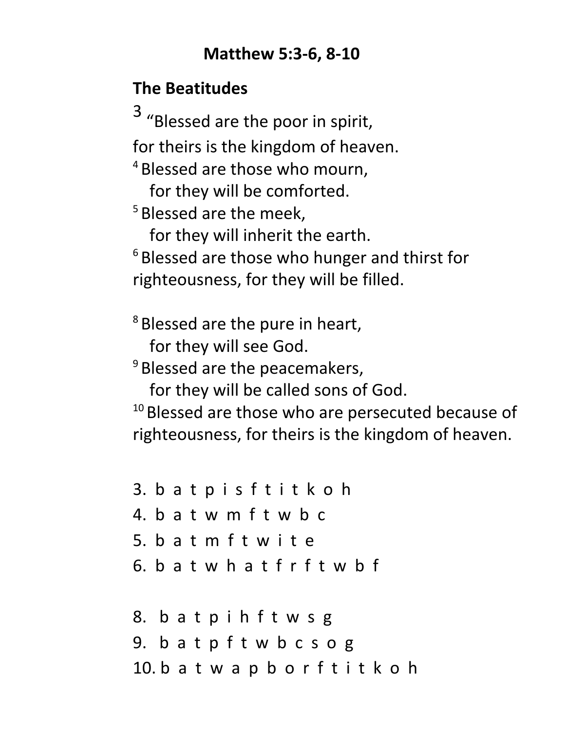### **Matthew 5:3-6, 8-10**

### **The Beatitudes**

3 "Blessed are the poor in spirit, for theirs is the kingdom of heaven. <sup>4</sup> Blessed are those who mourn, for they will be comforted. <sup>5</sup> Blessed are the meek, for they will inherit the earth.

<sup>6</sup> Blessed are those who hunger and thirst for righteousness, for they will be filled.

<sup>8</sup> Blessed are the pure in heart,

for they will see God.

 $9$  Blessed are the peacemakers,

for they will be called sons of God.

 $10$  Blessed are those who are persecuted because of righteousness, for theirs is the kingdom of heaven.

3. b a t p i s f t i t k o h 4. b a t w m f t w b c 5. b a t m f t w i t e 6. b a t w h a t f r f t w b f

8. b a t p i h f t w s g 9. b a t p f t w b c s o g 10. b a t w a p b o r f t i t k o h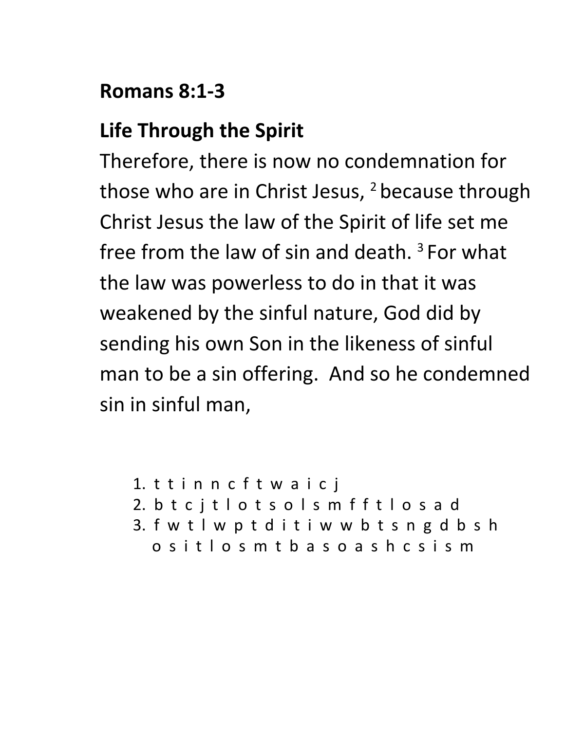### **Romans 8:1-3**

## **Life Through the Spirit**

Therefore, there is now no condemnation for those who are in Christ Jesus,  $2$  because through Christ Jesus the law of the Spirit of life set me free from the law of sin and death.  $3$  For what the law was powerless to do in that it was weakened by the sinful nature, God did by sending his own Son in the likeness of sinful man to be a sin offering. And so he condemned sin in sinful man,

```
1. t t i n n c f t w a i c j
2. b t c j t l o t s o l s m f f t l o s a d
3. f w t l w p t d i t i w w b t s n g d b s h
  o s i t l o s m t b a s o a s h c s i s m
```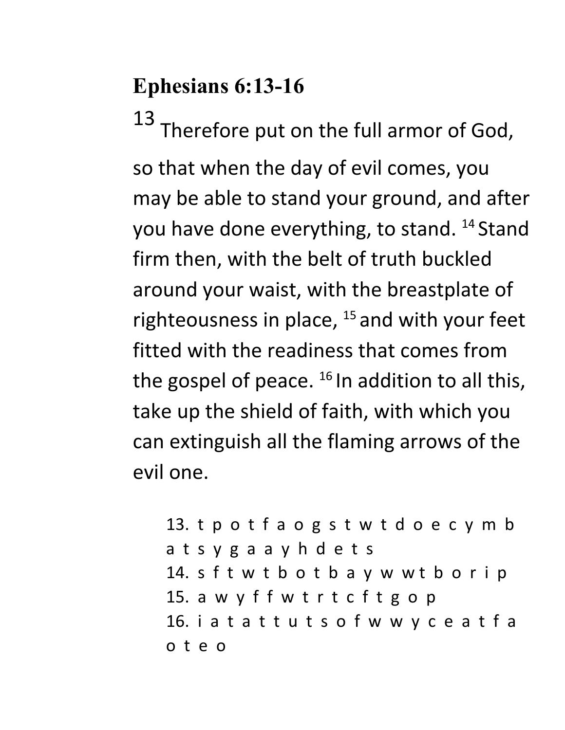# **Ephesians 6:13-16**

13 Therefore put on the full armor of God, so that when the day of evil comes, you may be able to stand your ground, and after you have done everything, to stand. <sup>14</sup> Stand firm then, with the belt of truth buckled around your waist, with the breastplate of righteousness in place,  $15$  and with your feet fitted with the readiness that comes from the gospel of peace.  $^{16}$  In addition to all this, take up the shield of faith, with which you can extinguish all the flaming arrows of the evil one.

13. t p o t f a o g s t w t d o e c y m b a t s y g a a y h d e t s 14. s f t w t b o t b a y w w t b o r i p 15. a w y f f w t r t c f t g o p 16. i a t a t t u t s o f w w y c e a t f a o t e o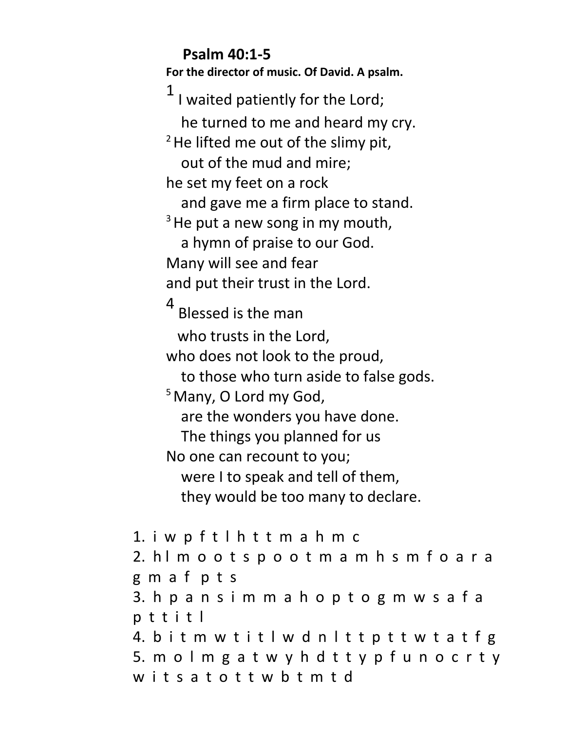**Psalm 40:1-5 For the director of music. Of David. A psalm.** I waited patiently for the Lord; he turned to me and heard my cry.  $2$  He lifted me out of the slimy pit, out of the mud and mire; he set my feet on a rock and gave me a firm place to stand.  $3$  He put a new song in my mouth, a hymn of praise to our God. Many will see and fear and put their trust in the Lord. 4 Blessed is the man who trusts in the Lord, who does not look to the proud, to those who turn aside to false gods. <sup>5</sup> Many, O Lord my God, are the wonders you have done. The things you planned for us No one can recount to you; were I to speak and tell of them, they would be too many to declare. 1. i w p f t l h t t m a h m c 2. h l m o o t s p o o t m a m h s m f o a r a g m a f p t s 3. h p a n s i m m a h o p t o g m w s a f a p t t i t l 4. b i t m w t i t l w d n l t t p t t w t a t f g

5. m o l m g a t w y h d t t y p f u n o c r t y wits a t o t t w b t m t d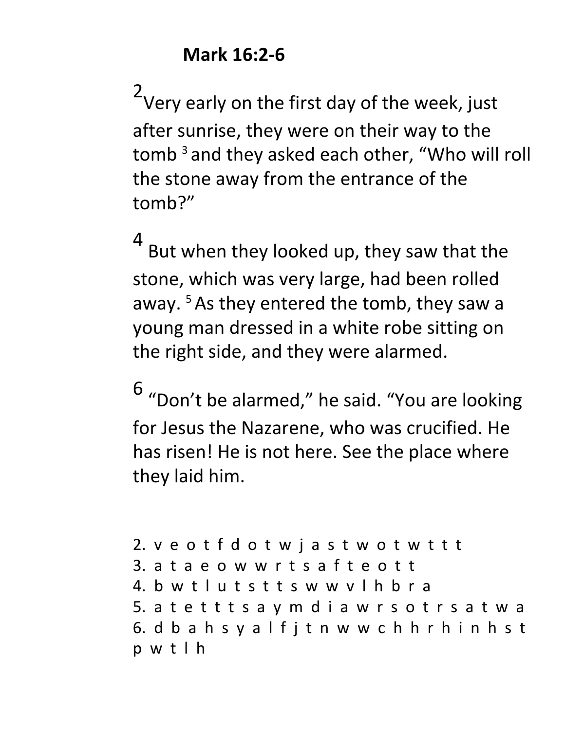$2<sub>1</sub>$ Very early on the first day of the week, just after sunrise, they were on their way to the tomb<sup>3</sup> and they asked each other, "Who will roll the stone away from the entrance of the tomb?"

4

But when they looked up, they saw that the stone, which was very large, had been rolled away. <sup>5</sup>As they entered the tomb, they saw a young man dressed in a white robe sitting on the right side, and they were alarmed.

6 "Don't be alarmed, " he said. "You are looking for Jesus the Nazarene, who was crucified. He has risen! He is not here. See the place where they laid him.

2. v e o t f d o t w j a s t w o t w t t t 3. a t a e o w w r t s a f t e o t t 4. b w t l u t s t t s w w v l h b r a 5. a t e t t t s a y m d i a w r s o t r s a t w a 6. d b a h s y a l f j t n w w c h h r h i n h s t p w t l h